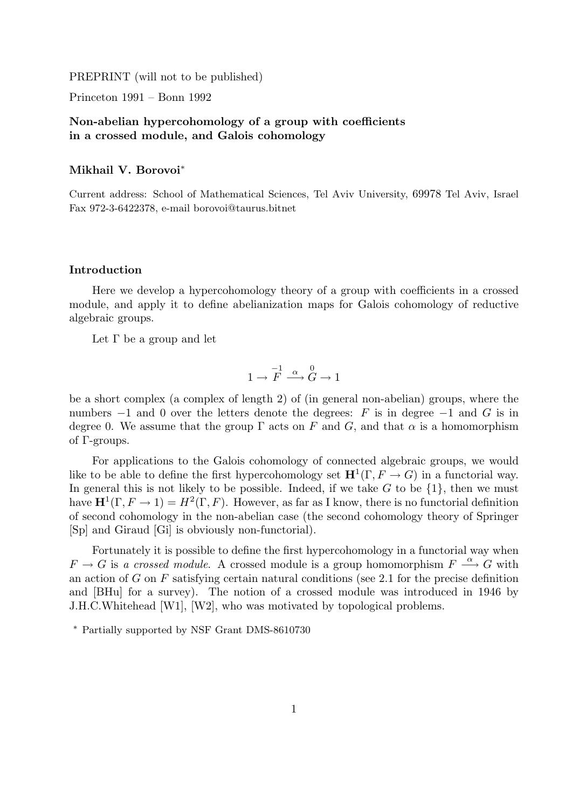PREPRINT (will not to be published)

Princeton 1991 – Bonn 1992

# Non-abelian hypercohomology of a group with coefficients in a crossed module, and Galois cohomology

#### Mikhail V. Borovoi<sup>∗</sup>

Current address: School of Mathematical Sciences, Tel Aviv University, 69978 Tel Aviv, Israel Fax 972-3-6422378, e-mail borovoi@taurus.bitnet

# Introduction

Here we develop a hypercohomology theory of a group with coefficients in a crossed module, and apply it to define abelianization maps for Galois cohomology of reductive algebraic groups.

Let  $\Gamma$  be a group and let

$$
1 \to \overline{F} \xrightarrow{\alpha} \overline{G} \to 1
$$

be a short complex (a complex of length 2) of (in general non-abelian) groups, where the numbers  $-1$  and 0 over the letters denote the degrees: F is in degree  $-1$  and G is in degree 0. We assume that the group  $\Gamma$  acts on F and G, and that  $\alpha$  is a homomorphism of Γ-groups.

For applications to the Galois cohomology of connected algebraic groups, we would like to be able to define the first hypercohomology set  $\mathbf{H}^1(\Gamma, F \to G)$  in a functorial way. In general this is not likely to be possible. Indeed, if we take  $G$  to be  $\{1\}$ , then we must have  $\mathbf{H}^1(\Gamma, F \to 1) = H^2(\Gamma, F)$ . However, as far as I know, there is no functorial definition of second cohomology in the non-abelian case (the second cohomology theory of Springer [Sp] and Giraud [Gi] is obviously non-functorial).

Fortunately it is possible to define the first hypercohomology in a functorial way when  $F \to G$  is a crossed module. A crossed module is a group homomorphism  $F \stackrel{\alpha}{\longrightarrow} G$  with an action of G on  $F$  satisfying certain natural conditions (see 2.1 for the precise definition and [BHu] for a survey). The notion of a crossed module was introduced in 1946 by J.H.C.Whitehead [W1], [W2], who was motivated by topological problems.

<sup>∗</sup> Partially supported by NSF Grant DMS-8610730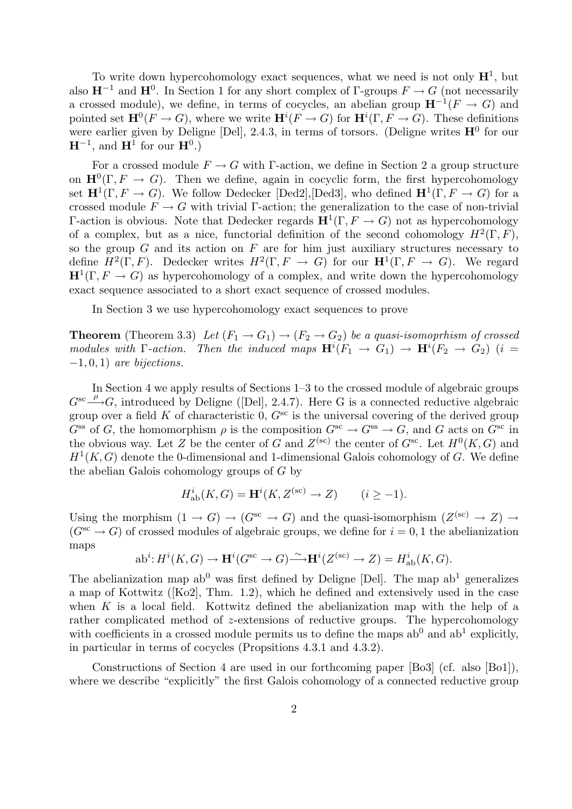To write down hypercohomology exact sequences, what we need is not only  $\mathbf{H}^{1}$ , but also  $\mathbf{H}^{-1}$  and  $\mathbf{H}^{0}$ . In Section 1 for any short complex of  $\Gamma$ -groups  $F \to G$  (not necessarily a crossed module), we define, in terms of cocycles, an abelian group  $\mathbf{H}^{-1}(F \to G)$  and pointed set  $\mathbf{H}^{0}(F \to G)$ , where we write  $\mathbf{H}^{i}(F \to G)$  for  $\mathbf{H}^{i}(\Gamma, F \to G)$ . These definitions were earlier given by Deligne [Del], 2.4.3, in terms of torsors. (Deligne writes  $H^0$  for our  $\mathbf{H}^{-1}$ , and  $\mathbf{H}^1$  for our  $\mathbf{H}^0$ .)

For a crossed module  $F \to G$  with Γ-action, we define in Section 2 a group structure on  $\mathbf{H}^0(\Gamma, F \to G)$ . Then we define, again in cocyclic form, the first hypercohomology set  $\mathbf{H}^1(\Gamma, F \to G)$ . We follow Dedecker [Ded2], [Ded3], who defined  $\mathbf{H}^1(\Gamma, F \to G)$  for a crossed module  $F \to G$  with trivial Γ-action; the generalization to the case of non-trivial Γ-action is obvious. Note that Dedecker regards  $\mathbf{H}^1(\Gamma, F \to G)$  not as hypercohomology of a complex, but as a nice, functorial definition of the second cohomology  $H^2(\Gamma, F)$ , so the group  $G$  and its action on  $F$  are for him just auxiliary structures necessary to define  $H^2(\Gamma, F)$ . Dedecker writes  $H^2(\Gamma, F \to G)$  for our  $\mathbf{H}^1(\Gamma, F \to G)$ . We regard  $\mathbf{H}^1(\Gamma, F \to G)$  as hypercohomology of a complex, and write down the hypercohomology exact sequence associated to a short exact sequence of crossed modules.

In Section 3 we use hypercohomology exact sequences to prove

**Theorem** (Theorem 3.3) Let  $(F_1 \rightarrow G_1) \rightarrow (F_2 \rightarrow G_2)$  be a quasi-isomoprhism of crossed modules with  $\Gamma$ -action. Then the induced maps  $\mathbf{H}^i(F_1 \rightarrow G_1) \rightarrow \mathbf{H}^i(F_2 \rightarrow G_2)$  (i =  $-1, 0, 1$ ) are bijections.

In Section 4 we apply results of Sections 1–3 to the crossed module of algebraic groups  $G^{\text{sc}} \xrightarrow{\rho} G$ , introduced by Deligne ([Del], 2.4.7). Here G is a connected reductive algebraic group over a field K of characteristic 0,  $G^{\rm sc}$  is the universal covering of the derived group  $G^{ss}$  of G, the homomorphism  $\rho$  is the composition  $G^{sc} \to G^{ss} \to G$ , and G acts on  $G^{sc}$  in the obvious way. Let Z be the center of G and  $Z^{(sc)}$  the center of  $G^{sc}$ . Let  $H^0(K, G)$  and  $H<sup>1</sup>(K, G)$  denote the 0-dimensional and 1-dimensional Galois cohomology of G. We define the abelian Galois cohomology groups of G by

$$
H_{\mathrm{ab}}^i(K, G) = \mathbf{H}^i(K, Z^{(\mathrm{sc})} \to Z) \qquad (i \ge -1).
$$

Using the morphism  $(1 \to G) \to (G^{sc} \to G)$  and the quasi-isomorphism  $(Z^{(sc)} \to Z) \to$  $(G<sup>sc</sup> \to G)$  of crossed modules of algebraic groups, we define for  $i = 0, 1$  the abelianization maps

$$
\mathrm{ab}^i \colon \! H^i(K,G) \to \mathbf{H}^i(G^\mathrm{sc} \to G) \xrightarrow{\sim} \mathbf{H}^i(Z^{(\mathrm{sc})} \to Z) = H^i_\mathrm{ab}(K,G).
$$

The abelianization map  $ab^0$  was first defined by Deligne [Del]. The map  $ab^1$  generalizes a map of Kottwitz ([Ko2], Thm. 1.2), which he defined and extensively used in the case when K is a local field. Kottwitz defined the abelianization map with the help of a rather complicated method of z-extensions of reductive groups. The hypercohomology with coefficients in a crossed module permits us to define the maps  $ab^0$  and  $ab^1$  explicitly, in particular in terms of cocycles (Propsitions 4.3.1 and 4.3.2).

Constructions of Section 4 are used in our forthcoming paper [Bo3] (cf. also [Bo1]), where we describe "explicitly" the first Galois cohomology of a connected reductive group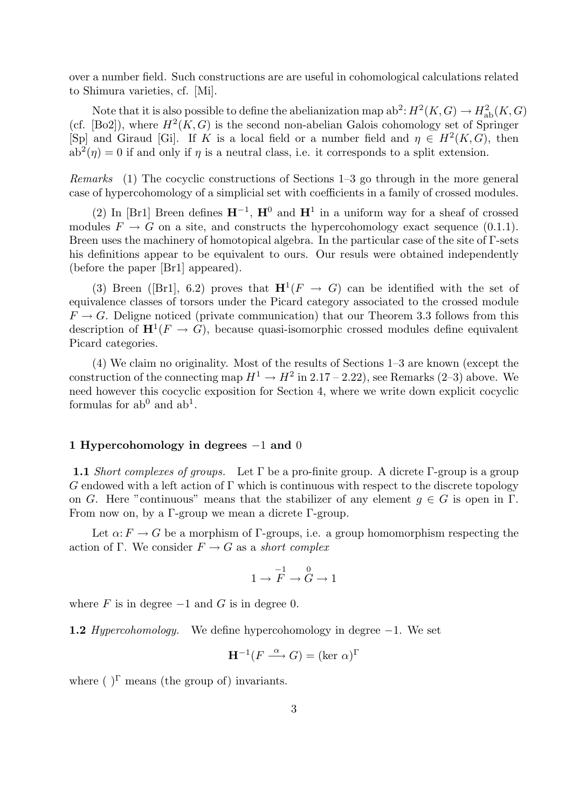over a number field. Such constructions are are useful in cohomological calculations related to Shimura varieties, cf. [Mi].

Note that it is also possible to define the abelianization map  $ab^2$ :  $H^2(K, G) \to H^2_{ab}(K, G)$ (cf. [Bo2]), where  $H^2(K, G)$  is the second non-abelian Galois cohomology set of Springer [Sp] and Giraud [Gi]. If K is a local field or a number field and  $\eta \in H^2(K, G)$ , then  $ab^2(\eta) = 0$  if and only if  $\eta$  is a neutral class, i.e. it corresponds to a split extension.

Remarks (1) The cocyclic constructions of Sections 1–3 go through in the more general case of hypercohomology of a simplicial set with coefficients in a family of crossed modules.

(2) In [Br1] Breen defines  $\mathbf{H}^{-1}$ ,  $\mathbf{H}^0$  and  $\mathbf{H}^1$  in a uniform way for a sheaf of crossed modules  $F \to G$  on a site, and constructs the hypercohomology exact sequence (0.1.1). Breen uses the machinery of homotopical algebra. In the particular case of the site of Γ-sets his definitions appear to be equivalent to ours. Our resuls were obtained independently (before the paper [Br1] appeared).

(3) Breen ([Br1], 6.2) proves that  $\mathbf{H}^1(F \to G)$  can be identified with the set of equivalence classes of torsors under the Picard category associated to the crossed module  $F \to G$ . Deligne noticed (private communication) that our Theorem 3.3 follows from this description of  $\mathbf{H}^1(F \to G)$ , because quasi-isomorphic crossed modules define equivalent Picard categories.

(4) We claim no originality. Most of the results of Sections 1–3 are known (except the construction of the connecting map  $H^1 \to H^2$  in 2.17 – 2.22), see Remarks (2–3) above. We need however this cocyclic exposition for Section 4, where we write down explicit cocyclic formulas for  $ab^0$  and  $ab^1$ .

#### 1 Hypercohomology in degrees −1 and 0

1.1 Short complexes of groups. Let  $\Gamma$  be a pro-finite group. A dicrete Γ-group is a group  $G$  endowed with a left action of  $\Gamma$  which is continuous with respect to the discrete topology on G. Here "continuous" means that the stabilizer of any element  $q \in G$  is open in  $\Gamma$ . From now on, by a  $\Gamma$ -group we mean a dicrete  $\Gamma$ -group.

Let  $\alpha: F \to G$  be a morphism of  $\Gamma$ -groups, i.e. a group homomorphism respecting the action of Γ. We consider  $F \to G$  as a short complex

$$
1\to \overset{-1}{F}\to \overset{0}{G}\to 1
$$

where  $F$  is in degree  $-1$  and  $G$  is in degree 0.

**1.2** Hypercohomology. We define hypercohomology in degree  $-1$ . We set

$$
\mathbf{H}^{-1}(F \xrightarrow{\alpha} G) = (\ker \alpha)^{\Gamma}
$$

where  $(\cdot)^{\Gamma}$  means (the group of) invariants.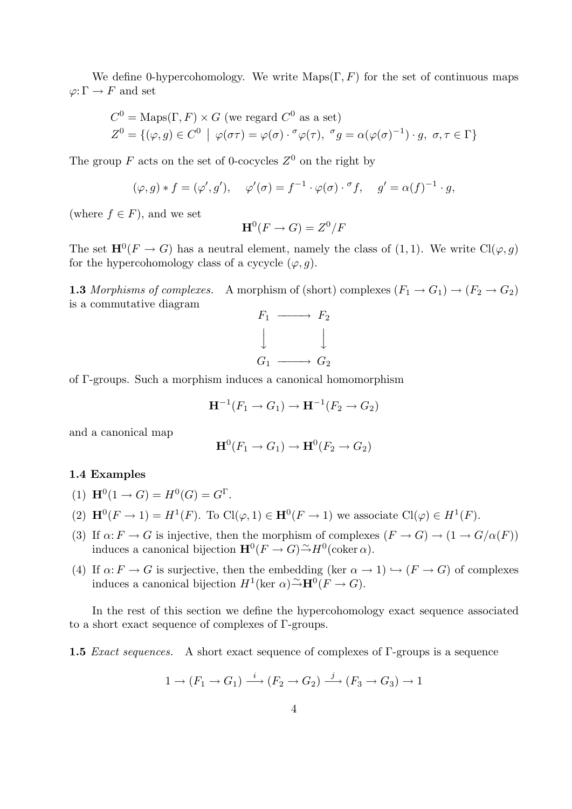We define 0-hypercohomology. We write  $\text{Maps}(\Gamma, F)$  for the set of continuous maps  $\varphi\text{:}\,\Gamma\to F$  and set

$$
C^{0} = \text{Maps}(\Gamma, F) \times G \text{ (we regard } C^{0} \text{ as a set)}
$$
  

$$
Z^{0} = \{ (\varphi, g) \in C^{0} \mid \varphi(\sigma \tau) = \varphi(\sigma) \cdot \sigma \varphi(\tau), \sigma g = \alpha(\varphi(\sigma)^{-1}) \cdot g, \sigma, \tau \in \Gamma \}
$$

The group F acts on the set of 0-cocycles  $Z^0$  on the right by

$$
(\varphi, g) * f = (\varphi', g'), \quad \varphi'(\sigma) = f^{-1} \cdot \varphi(\sigma) \cdot \sigma f, \quad g' = \alpha(f)^{-1} \cdot g,
$$

(where  $f \in F$ ), and we set

$$
\mathbf{H}^0(F \to G) = Z^0/F
$$

The set  $\mathbf{H}^{0}(F \to G)$  has a neutral element, namely the class of  $(1,1)$ . We write  $\text{Cl}(\varphi, g)$ for the hypercohomology class of a cycycle  $(\varphi, q)$ .

**1.3** Morphisms of complexes. A morphism of (short) complexes  $(F_1 \rightarrow G_1) \rightarrow (F_2 \rightarrow G_2)$ is a commutative diagram



of Γ-groups. Such a morphism induces a canonical homomorphism

$$
\mathbf{H}^{-1}(F_1 \to G_1) \to \mathbf{H}^{-1}(F_2 \to G_2)
$$

and a canonical map

$$
\mathbf{H}^0(F_1 \to G_1) \to \mathbf{H}^0(F_2 \to G_2)
$$

# 1.4 Examples

(1) 
$$
\mathbf{H}^0(1 \to G) = H^0(G) = G^{\Gamma}
$$
.

- (2)  $\mathbf{H}^0(F \to 1) = H^1(F)$ . To  $\text{Cl}(\varphi, 1) \in \mathbf{H}^0(F \to 1)$  we associate  $\text{Cl}(\varphi) \in H^1(F)$ .
- (3) If  $\alpha: F \to G$  is injective, then the morphism of complexes  $(F \to G) \to (1 \to G/\alpha(F))$ induces a canonical bijection  $\mathbf{H}^0(F \to G) \tilde{\to} H^0(\mathrm{coker}\,\alpha)$ .
- (4) If  $\alpha: F \to G$  is surjective, then the embedding (ker  $\alpha \to 1$ )  $\hookrightarrow (F \to G)$  of complexes induces a canonical bijection  $H^1(\text{ker }\alpha) \tilde{\rightarrow} \mathbf{H}^0(F \rightarrow G)$ .

In the rest of this section we define the hypercohomology exact sequence associated to a short exact sequence of complexes of Γ-groups.

1.5 *Exact sequences.* A short exact sequence of complexes of Γ-groups is a sequence

$$
1 \to (F_1 \to G_1) \xrightarrow{i} (F_2 \to G_2) \xrightarrow{j} (F_3 \to G_3) \to 1
$$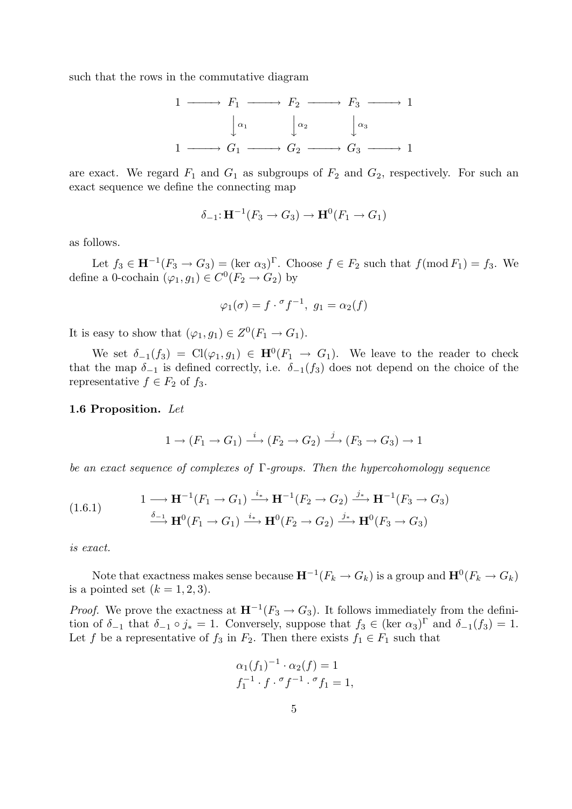such that the rows in the commutative diagram

$$
1 \longrightarrow F_1 \longrightarrow F_2 \longrightarrow F_3 \longrightarrow 1
$$

$$
\downarrow^{\alpha_1} \qquad \downarrow^{\alpha_2} \qquad \downarrow^{\alpha_3}
$$

$$
1 \longrightarrow G_1 \longrightarrow G_2 \longrightarrow G_3 \longrightarrow 1
$$

are exact. We regard  $F_1$  and  $G_1$  as subgroups of  $F_2$  and  $G_2$ , respectively. For such an exact sequence we define the connecting map

$$
\delta_{-1}: \mathbf{H}^{-1}(F_3 \to G_3) \to \mathbf{H}^0(F_1 \to G_1)
$$

as follows.

Let  $f_3 \in \mathbf{H}^{-1}(F_3 \to G_3) = (\text{ker } \alpha_3)^\Gamma$ . Choose  $f \in F_2$  such that  $f(\text{mod } F_1) = f_3$ . We define a 0-cochain  $(\varphi_1, g_1) \in C^0(F_2 \to G_2)$  by

$$
\varphi_1(\sigma) = f \cdot \sigma f^{-1}, \ g_1 = \alpha_2(f)
$$

It is easy to show that  $(\varphi_1, g_1) \in Z^0(F_1 \to G_1)$ .

We set  $\delta_{-1}(f_3) = \text{Cl}(\varphi_1, g_1) \in \mathbf{H}^0(F_1 \to G_1)$ . We leave to the reader to check that the map  $\delta_{-1}$  is defined correctly, i.e.  $\delta_{-1}(f_3)$  does not depend on the choice of the representative  $f \in F_2$  of  $f_3$ .

#### 1.6 Proposition. Let

$$
1 \to (F_1 \to G_1) \xrightarrow{i} (F_2 \to G_2) \xrightarrow{j} (F_3 \to G_3) \to 1
$$

be an exact sequence of complexes of  $\Gamma$ -groups. Then the hypercohomology sequence

$$
(1.6.1) \qquad \qquad 1 \longrightarrow \mathbf{H}^{-1}(F_1 \rightarrow G_1) \xrightarrow{i_*} \mathbf{H}^{-1}(F_2 \rightarrow G_2) \xrightarrow{j_*} \mathbf{H}^{-1}(F_3 \rightarrow G_3)
$$

$$
\xrightarrow{\delta_{-1}} \mathbf{H}^0(F_1 \rightarrow G_1) \xrightarrow{i_*} \mathbf{H}^0(F_2 \rightarrow G_2) \xrightarrow{j_*} \mathbf{H}^0(F_3 \rightarrow G_3)
$$

is exact.

Note that exactness makes sense because  $\mathbf{H}^{-1}(F_k \to G_k)$  is a group and  $\mathbf{H}^0(F_k \to G_k)$ is a pointed set  $(k = 1, 2, 3)$ .

*Proof.* We prove the exactness at  $\mathbf{H}^{-1}(F_3 \to G_3)$ . It follows immediately from the definition of  $\delta_{-1}$  that  $\delta_{-1} \circ j_* = 1$ . Conversely, suppose that  $f_3 \in (\text{ker } \alpha_3)^\Gamma$  and  $\delta_{-1}(f_3) = 1$ . Let f be a representative of  $f_3$  in  $F_2$ . Then there exists  $f_1 \in F_1$  such that

$$
\alpha_1(f_1)^{-1} \cdot \alpha_2(f) = 1 f_1^{-1} \cdot f \cdot {}^{\sigma} f^{-1} \cdot {}^{\sigma} f_1 = 1,
$$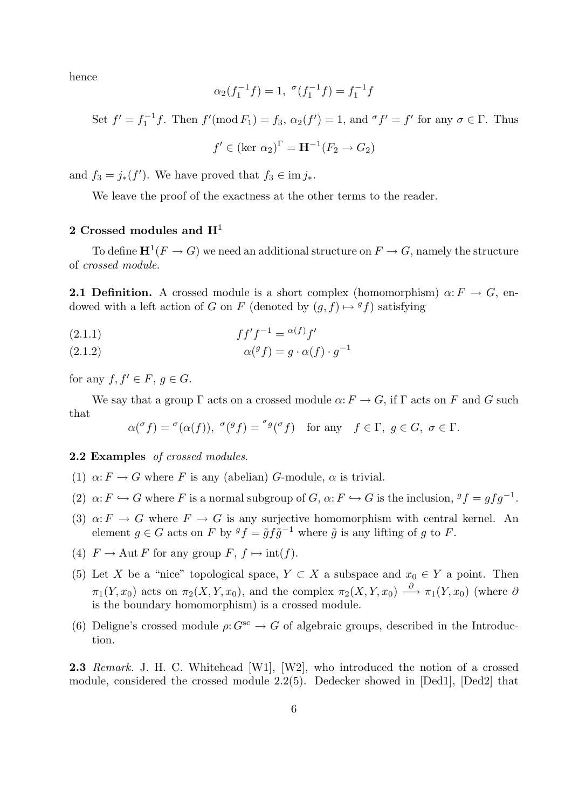hence

$$
\alpha_2(f_1^{-1}f) = 1, \, \, ^\sigma(f_1^{-1}f) = f_1^{-1}f
$$

Set  $f' = f_1^{-1}$  $f'_1 f$ . Then  $f'(\text{mod } F_1) = f_3$ ,  $\alpha_2(f') = 1$ , and  ${}^{\sigma} f' = f'$  for any  $\sigma \in \Gamma$ . Thus

$$
f' \in (\text{ker } \alpha_2)^{\Gamma} = \mathbf{H}^{-1}(F_2 \to G_2)
$$

and  $f_3 = j_*(f')$ . We have proved that  $f_3 \in \text{im } j_*$ .

We leave the proof of the exactness at the other terms to the reader.

# 2 Crossed modules and  $H<sup>1</sup>$

To define  $\mathbf{H}^1(F\to G)$  we need an additional structure on  $F\to G$ , namely the structure of crossed module.

**2.1 Definition.** A crossed module is a short complex (homomorphism)  $\alpha: F \to G$ , endowed with a left action of G on F (denoted by  $(g, f) \mapsto {}^gf$ ) satisfying

$$
(2.1.1)\qquad \qquad ff'f^{-1} = \alpha(f)f'
$$

(2.1.2) 
$$
\alpha({}^gf) = g \cdot \alpha(f) \cdot g^{-1}
$$

for any  $f, f' \in F, q \in G$ .

We say that a group  $\Gamma$  acts on a crossed module  $\alpha: F \to G$ , if  $\Gamma$  acts on F and G such that

$$
\alpha({}^\sigma f) = {}^\sigma(\alpha(f)), \ {}^\sigma({}^gf) = {}^\sigma{}^g({}^\sigma f) \quad \text{for any} \quad f \in \Gamma, \ g \in G, \ \sigma \in \Gamma.
$$

2.2 Examples of crossed modules.

- (1)  $\alpha: F \to G$  where F is any (abelian) G-module,  $\alpha$  is trivial.
- (2)  $\alpha: F \hookrightarrow G$  where F is a normal subgroup of  $G, \alpha: F \hookrightarrow G$  is the inclusion,  ${}^gf = gfg^{-1}$ .
- (3)  $\alpha: F \to G$  where  $F \to G$  is any surjective homomorphism with central kernel. An element  $g \in G$  acts on F by  ${}^gf = \tilde{g} f \tilde{g}^{-1}$  where  $\tilde{g}$  is any lifting of g to F.
- (4)  $F \to \text{Aut } F$  for any group  $F, f \mapsto \text{int}(f)$ .
- (5) Let X be a "nice" topological space,  $Y \subset X$  a subspace and  $x_0 \in Y$  a point. Then  $\pi_1(Y, x_0)$  acts on  $\pi_2(X, Y, x_0)$ , and the complex  $\pi_2(X, Y, x_0) \stackrel{\partial}{\longrightarrow} \pi_1(Y, x_0)$  (where  $\partial$ is the boundary homomorphism) is a crossed module.
- (6) Deligne's crossed module  $\rho: G^{sc} \to G$  of algebraic groups, described in the Introduction.

2.3 Remark. J. H. C. Whitehead [W1], [W2], who introduced the notion of a crossed module, considered the crossed module 2.2(5). Dedecker showed in [Ded1], [Ded2] that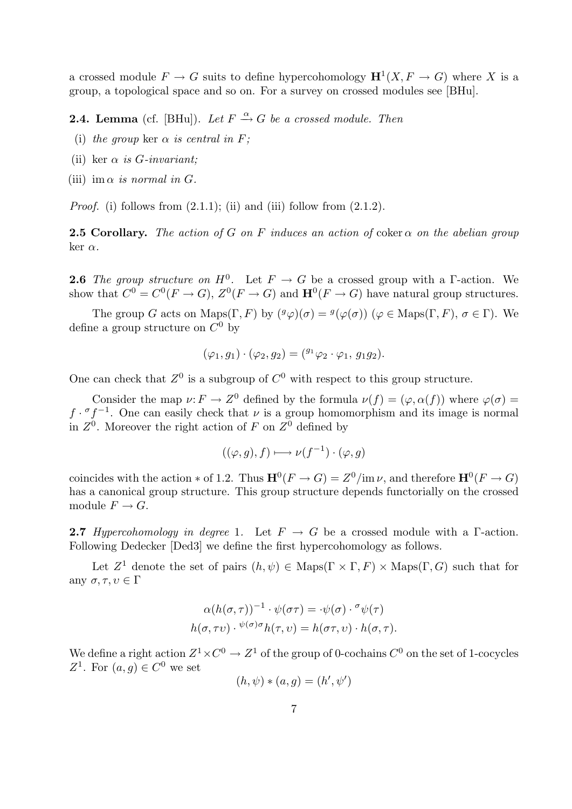a crossed module  $F \to G$  suits to define hypercohomology  $\mathbf{H}^1(X, F \to G)$  where X is a group, a topological space and so on. For a survey on crossed modules see [BHu].

**2.4. Lemma** (cf. [BHu]). Let  $F \xrightarrow{\alpha} G$  be a crossed module. Then

- (i) the group ker  $\alpha$  is central in F;
- (ii) ker  $\alpha$  is *G*-invariant;
- (iii) im  $\alpha$  is normal in G.

*Proof.* (i) follows from  $(2.1.1)$ ; (ii) and (iii) follow from  $(2.1.2)$ .

**2.5 Corollary.** The action of G on F induces an action of coker  $\alpha$  on the abelian group ker  $α$ .

**2.6** The group structure on  $H^0$ . Let  $F \to G$  be a crossed group with a  $\Gamma$ -action. We show that  $C^0 = C^0(F \to G)$ ,  $Z^0(F \to G)$  and  $\mathbf{H}^0(F \to G)$  have natural group structures.

The group G acts on Maps( $\Gamma$ , F) by  $({}^g\varphi)(\sigma) = {}^g(\varphi(\sigma))$  ( $\varphi \in \text{Maps}(\Gamma, F)$ ,  $\sigma \in \Gamma$ ). We define a group structure on  $C^0$  by

$$
(\varphi_1, g_1) \cdot (\varphi_2, g_2) = ({}^{g_1} \varphi_2 \cdot \varphi_1, g_1 g_2).
$$

One can check that  $Z^0$  is a subgroup of  $C^0$  with respect to this group structure.

Consider the map  $\nu: F \to Z^0$  defined by the formula  $\nu(f) = (\varphi, \alpha(f))$  where  $\varphi(\sigma) =$  $f \cdot \sigma f^{-1}$ . One can easily check that  $\nu$  is a group homomorphism and its image is normal in  $Z^0$ . Moreover the right action of F on  $Z^0$  defined by

$$
((\varphi, g), f) \longmapsto \nu(f^{-1}) \cdot (\varphi, g)
$$

coincides with the action  $*$  of 1.2. Thus  $\mathbf{H}^{0}(F \to G) = Z^{0}/\text{im }\nu$ , and therefore  $\mathbf{H}^{0}(F \to G)$ has a canonical group structure. This group structure depends functorially on the crossed module  $F \to G$ .

**2.7** Hypercohomology in degree 1. Let  $F \rightarrow G$  be a crossed module with a  $\Gamma$ -action. Following Dedecker [Ded3] we define the first hypercohomology as follows.

Let  $Z^1$  denote the set of pairs  $(h, \psi) \in \text{Maps}(\Gamma \times \Gamma, F) \times \text{Maps}(\Gamma, G)$  such that for any  $\sigma, \tau, v \in \Gamma$ 

$$
\alpha(h(\sigma,\tau))^{-1} \cdot \psi(\sigma\tau) = \cdot \psi(\sigma) \cdot \sigma \psi(\tau)
$$

$$
h(\sigma,\tau\upsilon) \cdot \psi(\sigma)\sigma h(\tau,\upsilon) = h(\sigma\tau,\upsilon) \cdot h(\sigma,\tau).
$$

We define a right action  $Z^1 \times C^0 \to Z^1$  of the group of 0-cochains  $C^0$  on the set of 1-cocycles Z<sup>1</sup>. For  $(a, g) \in C^0$  we set

$$
(h, \psi) * (a, g) = (h', \psi')
$$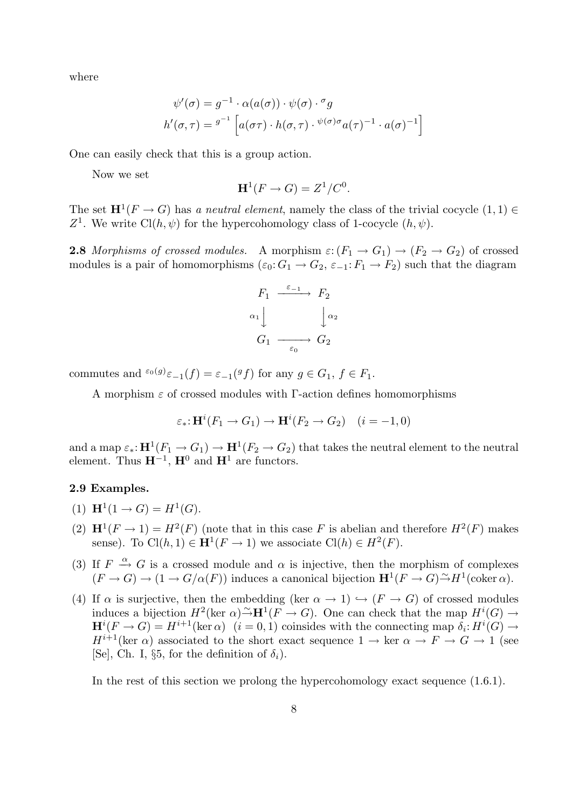where

$$
\psi'(\sigma) = g^{-1} \cdot \alpha(a(\sigma)) \cdot \psi(\sigma) \cdot \sigma_g
$$

$$
h'(\sigma, \tau) = g^{-1} \left[ a(\sigma \tau) \cdot h(\sigma, \tau) \cdot \psi(\sigma) \sigma_a(\tau)^{-1} \cdot a(\sigma)^{-1} \right]
$$

One can easily check that this is a group action.

Now we set

$$
\mathbf{H}^1(F \to G) = Z^1/C^0.
$$

The set  $\mathbf{H}^1(F \to G)$  has a neutral element, namely the class of the trivial cocycle  $(1,1) \in$ Z<sup>1</sup>. We write Cl(h,  $\psi$ ) for the hypercohomology class of 1-cocycle  $(h, \psi)$ .

**2.8** Morphisms of crossed modules. A morphism  $\varepsilon$ :  $(F_1 \rightarrow G_1) \rightarrow (F_2 \rightarrow G_2)$  of crossed modules is a pair of homomorphisms  $(\varepsilon_0: G_1 \to G_2, \varepsilon_{-1}: F_1 \to F_2)$  such that the diagram

$$
F_1 \xrightarrow{\varepsilon_{-1}} F_2
$$
  
\n
$$
\alpha_1 \downarrow \qquad \qquad \downarrow \alpha_2
$$
  
\n
$$
G_1 \xrightarrow{\varepsilon_0} G_2
$$

commutes and  ${}^{\varepsilon_0(g)}\varepsilon_{-1}(f) = \varepsilon_{-1}({}^gf)$  for any  $g \in G_1$ ,  $f \in F_1$ .

A morphism  $\varepsilon$  of crossed modules with Γ-action defines homomorphisms

$$
\varepsilon_* \colon \mathbf{H}^i(F_1 \to G_1) \to \mathbf{H}^i(F_2 \to G_2) \quad (i = -1, 0)
$$

and a map  $\varepsilon_* : H^1(F_1 \to G_1) \to H^1(F_2 \to G_2)$  that takes the neutral element to the neutral element. Thus  $\mathbf{H}^{-1}$ ,  $\mathbf{H}^0$  and  $\mathbf{H}^1$  are functors.

# 2.9 Examples.

- (1)  $\mathbf{H}^1(1 \to G) = H^1(G)$ .
- (2)  $\mathbf{H}^1(F \to 1) = H^2(F)$  (note that in this case F is abelian and therefore  $H^2(F)$  makes sense). To  $\text{Cl}(h,1) \in \mathbf{H}^1(F \to 1)$  we associate  $\text{Cl}(h) \in H^2(F)$ .
- (3) If  $F \stackrel{\alpha}{\rightarrow} G$  is a crossed module and  $\alpha$  is injective, then the morphism of complexes  $(F \to G) \to (1 \to G/\alpha(F))$  induces a canonical bijection  $\mathbf{H}^1(F \to G) \to H^1(\text{coker }\alpha)$ .
- (4) If  $\alpha$  is surjective, then the embedding (ker  $\alpha \to 1$ )  $\hookrightarrow (F \to G)$  of crossed modules induces a bijection  $H^2(\ker \alpha) \to^{\infty} \mathbf{H}^1(F \to G)$ . One can check that the map  $H^i(G) \to^{\infty}$  $\mathbf{H}^i(F \to G) = H^{i+1}(\ker \alpha)$   $(i = 0, 1)$  coinsides with the connecting map  $\delta_i: H^i(G) \to$  $H^{i+1}(\text{ker }\alpha)$  associated to the short exact sequence  $1 \to \text{ker }\alpha \to F \to G \to 1$  (see [Se], Ch. I, §5, for the definition of  $\delta_i$ ).

In the rest of this section we prolong the hypercohomology exact sequence (1.6.1).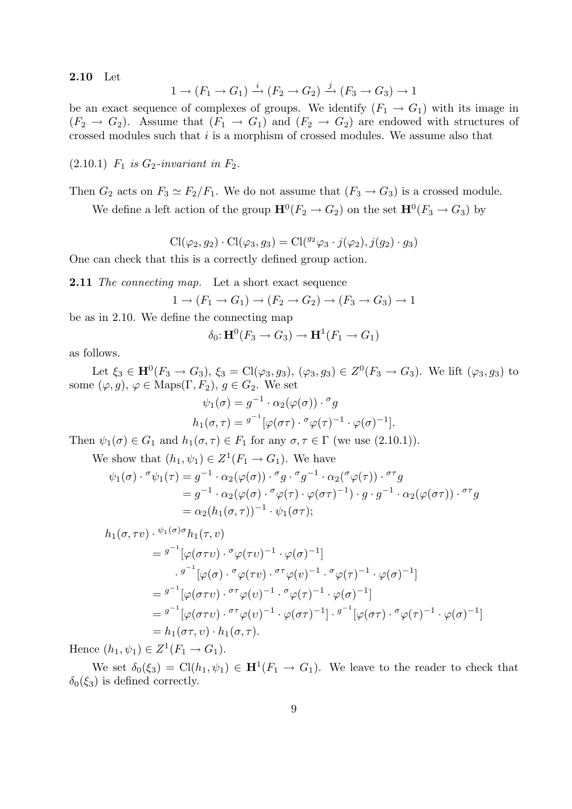2.10 Let

$$
1 \to (F_1 \to G_1) \xrightarrow{i} (F_2 \to G_2) \xrightarrow{j} (F_3 \to G_3) \to 1
$$

be an exact sequence of complexes of groups. We identify  $(F_1 \rightarrow G_1)$  with its image in  $(F_2 \rightarrow G_2)$ . Assume that  $(F_1 \rightarrow G_1)$  and  $(F_2 \rightarrow G_2)$  are endowed with structures of crossed modules such that  $i$  is a morphism of crossed modules. We assume also that

 $(2.10.1)$   $F_1$  is  $G_2$ -invariant in  $F_2$ .

Then  $G_2$  acts on  $F_3 \simeq F_2/F_1$ . We do not assume that  $(F_3 \rightarrow G_3)$  is a crossed module.

We define a left action of the group  $\mathbf{H}^0(F_2 \to G_2)$  on the set  $\mathbf{H}^0(F_3 \to G_3)$  by

 $\text{Cl}(\varphi_2, g_2) \cdot \text{Cl}(\varphi_3, g_3) = \text{Cl}({}^{g_2}\varphi_3 \cdot j(\varphi_2), j(g_2) \cdot g_3)$ 

One can check that this is a correctly defined group action.

**2.11** The connecting map. Let a short exact sequence

$$
1 \to (F_1 \to G_1) \to (F_2 \to G_2) \to (F_3 \to G_3) \to 1
$$

be as in 2.10. We define the connecting map

$$
\delta_0 \colon \mathbf{H}^0(F_3 \to G_3) \to \mathbf{H}^1(F_1 \to G_1)
$$

as follows.

Let  $\xi_3 \in H^0(F_3 \to G_3)$ ,  $\xi_3 = \text{Cl}(\varphi_3, g_3)$ ,  $(\varphi_3, g_3) \in Z^0(F_3 \to G_3)$ . We lift  $(\varphi_3, g_3)$  to some  $(\varphi, g)$ ,  $\varphi \in \text{Maps}(\Gamma, F_2)$ ,  $g \in G_2$ . We set

$$
\psi_1(\sigma) = g^{-1} \cdot \alpha_2(\varphi(\sigma)) \cdot \sigma_g
$$
  
\n
$$
h_1(\sigma, \tau) = g^{-1} [\varphi(\sigma \tau) \cdot \sigma_g(\tau)^{-1} \cdot \varphi(\sigma)^{-1}].
$$

Then  $\psi_1(\sigma) \in G_1$  and  $h_1(\sigma, \tau) \in F_1$  for any  $\sigma, \tau \in \Gamma$  (we use (2.10.1)).

We show that 
$$
(h_1, \psi_1) \in Z^1(F_1 \to G_1)
$$
. We have  
\n
$$
\psi_1(\sigma) \cdot {}^{\sigma}\psi_1(\tau) = g^{-1} \cdot \alpha_2(\varphi(\sigma)) \cdot {}^{\sigma}g \cdot {}^{\sigma}g^{-1} \cdot \alpha_2({}^{\sigma}\varphi(\tau)) \cdot {}^{\sigma\tau}g
$$
\n
$$
= g^{-1} \cdot \alpha_2(\varphi(\sigma) \cdot {}^{\sigma}\varphi(\tau) \cdot \varphi(\sigma\tau)^{-1}) \cdot g \cdot g^{-1} \cdot \alpha_2(\varphi(\sigma\tau)) \cdot {}^{\sigma\tau}g
$$
\n
$$
= \alpha_2 (h_1(\sigma,\tau))^{-1} \cdot \psi_1(\sigma\tau);
$$

$$
h_1(\sigma, \tau v) \cdot \frac{\psi_1(\sigma)\sigma}{}h_1(\tau, v)
$$
  
=  $g^{-1}[\varphi(\sigma\tau v) \cdot \frac{\sigma}{}\varphi(\tau v)^{-1} \cdot \varphi(\sigma)^{-1}]$   
 $\cdot \frac{g^{-1}[\varphi(\sigma) \cdot \frac{\sigma}{}\varphi(\tau v) \cdot \frac{\sigma\tau}{}\varphi(v)^{-1} \cdot \frac{\sigma}{}\varphi(\tau)^{-1} \cdot \varphi(\sigma)^{-1}]}{=} g^{-1}[\varphi(\sigma\tau v) \cdot \frac{\sigma\tau}{}\varphi(v)^{-1} \cdot \frac{\sigma}{}\varphi(\tau)^{-1} \cdot \varphi(\sigma)^{-1}]$   
=  $g^{-1}[\varphi(\sigma\tau v) \cdot \frac{\sigma\tau}{}\varphi(v)^{-1} \cdot \varphi(\sigma\tau)^{-1}] \cdot g^{-1}[\varphi(\sigma\tau) \cdot \frac{\sigma}{}\varphi(\tau)^{-1} \cdot \varphi(\sigma)^{-1}]$   
=  $h_1(\sigma\tau, v) \cdot h_1(\sigma, \tau)$ .

Hence  $(h_1, \psi_1) \in Z^1(F_1 \to G_1)$ .

We set  $\delta_0(\xi_3) = \text{Cl}(h_1, \psi_1) \in \mathbf{H}^1(F_1 \to G_1)$ . We leave to the reader to check that  $\delta_0(\xi_3)$  is defined correctly.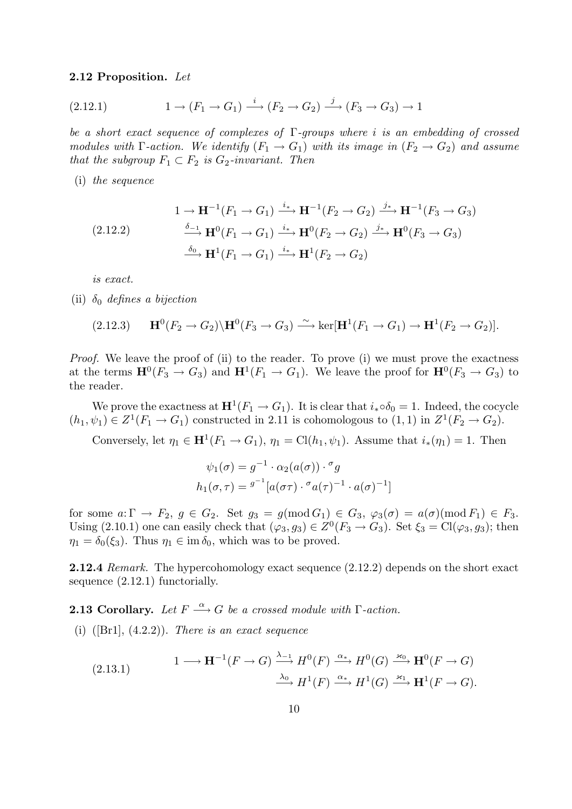#### 2.12 Proposition. Let

$$
(2.12.1) \t1 \t\t (F_1 \t\t \rightarrow G_1) \xrightarrow{i} (F_2 \t\t \rightarrow G_2) \xrightarrow{j} (F_3 \t\t \rightarrow G_3) \t\t \rightarrow 1
$$

be a short exact sequence of complexes of  $\Gamma$ -groups where i is an embedding of crossed modules with  $\Gamma$ -action. We identify  $(F_1 \rightarrow G_1)$  with its image in  $(F_2 \rightarrow G_2)$  and assume that the subgroup  $F_1 \subset F_2$  is  $G_2$ -invariant. Then

(i) the sequence

$$
(2.12.2) \qquad \begin{aligned} 1 &\rightarrow \mathbf{H}^{-1}(F_1 \rightarrow G_1) \xrightarrow{i_*} \mathbf{H}^{-1}(F_2 \rightarrow G_2) \xrightarrow{j_*} \mathbf{H}^{-1}(F_3 \rightarrow G_3) \\ &\xrightarrow{\delta_{-1}} \mathbf{H}^0(F_1 \rightarrow G_1) \xrightarrow{i_*} \mathbf{H}^0(F_2 \rightarrow G_2) \xrightarrow{j_*} \mathbf{H}^0(F_3 \rightarrow G_3) \\ &\xrightarrow{\delta_0} \mathbf{H}^1(F_1 \rightarrow G_1) \xrightarrow{i_*} \mathbf{H}^1(F_2 \rightarrow G_2) \end{aligned}
$$

is exact.

(ii)  $\delta_0$  defines a bijection

$$
(2.12.3) \qquad \mathbf{H}^0(F_2 \to G_2) \backslash \mathbf{H}^0(F_3 \to G_3) \xrightarrow{\sim} \ker[\mathbf{H}^1(F_1 \to G_1) \to \mathbf{H}^1(F_2 \to G_2)].
$$

*Proof.* We leave the proof of (ii) to the reader. To prove (i) we must prove the exactness at the terms  $\mathbf{H}^{0}(F_{3} \to G_{3})$  and  $\mathbf{H}^{1}(F_{1} \to G_{1})$ . We leave the proof for  $\mathbf{H}^{0}(F_{3} \to G_{3})$  to the reader.

We prove the exactness at  $\mathbf{H}^1(F_1 \to G_1)$ . It is clear that  $i_* \circ \delta_0 = 1$ . Indeed, the cocycle  $(h_1, \psi_1) \in Z^1(F_1 \to G_1)$  constructed in 2.11 is cohomologous to  $(1,1)$  in  $Z^1(F_2 \to G_2)$ .

Conversely, let  $\eta_1 \in \mathbf{H}^1(F_1 \to G_1)$ ,  $\eta_1 = \text{Cl}(h_1, \psi_1)$ . Assume that  $i_*(\eta_1) = 1$ . Then

$$
\psi_1(\sigma) = g^{-1} \cdot \alpha_2(a(\sigma)) \cdot \sigma_g
$$

$$
h_1(\sigma, \tau) = g^{-1} [a(\sigma \tau) \cdot \sigma_a(\tau)^{-1} \cdot a(\sigma)^{-1}]
$$

for some  $a: \Gamma \to F_2$ ,  $g \in G_2$ . Set  $g_3 = g \pmod{G_1} \in G_3$ ,  $\varphi_3(\sigma) = a(\sigma) \pmod{F_1} \in F_3$ . Using (2.10.1) one can easily check that  $(\varphi_3, g_3) \in Z^0(F_3 \to G_3)$ . Set  $\xi_3 = \text{Cl}(\varphi_3, g_3)$ ; then  $\eta_1 = \delta_0(\xi_3)$ . Thus  $\eta_1 \in \text{im } \delta_0$ , which was to be proved.

2.12.4 Remark. The hypercohomology exact sequence  $(2.12.2)$  depends on the short exact sequence (2.12.1) functorially.

**2.13 Corollary.** Let  $F \stackrel{\alpha}{\longrightarrow} G$  be a crossed module with  $\Gamma$ -action.

(i)  $([Br1], (4.2.2))$ . There is an exact sequence

(2.13.1) 
$$
1 \longrightarrow \mathbf{H}^{-1}(F \to G) \xrightarrow{\lambda_{-1}} H^{0}(F) \xrightarrow{\alpha_{*}} H^{0}(G) \xrightarrow{\varkappa_{0}} \mathbf{H}^{0}(F \to G)
$$

$$
\xrightarrow{\lambda_{0}} H^{1}(F) \xrightarrow{\alpha_{*}} H^{1}(G) \xrightarrow{\varkappa_{1}} \mathbf{H}^{1}(F \to G).
$$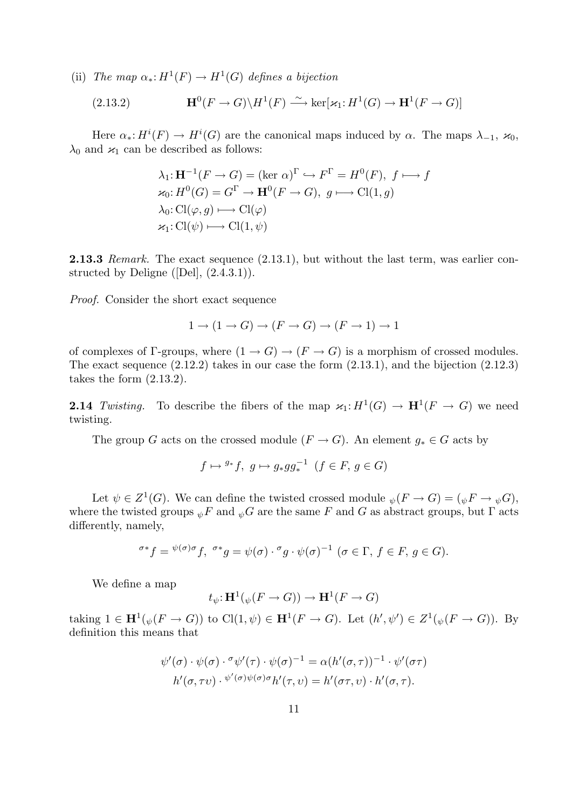(ii) The map  $\alpha_*: H^1(F) \to H^1(G)$  defines a bijection

(2.13.2) 
$$
\mathbf{H}^0(F \to G) \backslash H^1(F) \xrightarrow{\sim} \ker[\varkappa_1: H^1(G) \to \mathbf{H}^1(F \to G)]
$$

Here  $\alpha_*: H^i(F) \to H^i(G)$  are the canonical maps induced by  $\alpha$ . The maps  $\lambda_{-1}, \varkappa_0$ ,  $\lambda_0$  and  $\varkappa_1$  can be described as follows:

$$
\lambda_1: \mathbf{H}^{-1}(F \to G) = (\ker \alpha)^{\Gamma} \hookrightarrow F^{\Gamma} = H^0(F), f \longmapsto f
$$
  
\n
$$
\varkappa_0: H^0(G) = G^{\Gamma} \to \mathbf{H}^0(F \to G), g \longmapsto \mathrm{Cl}(1, g)
$$
  
\n
$$
\lambda_0: \mathrm{Cl}(\varphi, g) \longmapsto \mathrm{Cl}(\varphi)
$$
  
\n
$$
\varkappa_1: \mathrm{Cl}(\psi) \longmapsto \mathrm{Cl}(1, \psi)
$$

**2.13.3** Remark. The exact sequence  $(2.13.1)$ , but without the last term, was earlier constructed by Deligne ([Del], (2.4.3.1)).

Proof. Consider the short exact sequence

$$
1 \to (1 \to G) \to (F \to G) \to (F \to 1) \to 1
$$

of complexes of Γ-groups, where  $(1 \rightarrow G) \rightarrow (F \rightarrow G)$  is a morphism of crossed modules. The exact sequence (2.12.2) takes in our case the form (2.13.1), and the bijection (2.12.3) takes the form (2.13.2).

**2.14** Twisting. To describe the fibers of the map  $\varkappa_1: H^1(G) \to \mathbf{H}^1(F \to G)$  we need twisting.

The group G acts on the crossed module  $(F \to G)$ . An element  $g_* \in G$  acts by

$$
f \mapsto {}^{g_*}f, \ g \mapsto g_*gg_*^{-1} \ (f \in F, \ g \in G)
$$

Let  $\psi \in Z^1(G)$ . We can define the twisted crossed module  $\psi(F \to G) = (\psi F \to \psi G)$ , where the twisted groups  $_{\psi}F$  and  $_{\psi}G$  are the same F and G as abstract groups, but  $\Gamma$  acts differently, namely,

$$
\sigma^* f = \psi(\sigma) \sigma f, \ \sigma^* g = \psi(\sigma) \cdot \sigma g \cdot \psi(\sigma)^{-1} \ (\sigma \in \Gamma, \ f \in F, \ g \in G).
$$

We define a map

$$
t_{\psi} \colon \mathbf{H}^1(\psi(F \to G)) \to \mathbf{H}^1(F \to G)
$$

taking  $1 \in \mathbf{H}^1(\psi(F \to G))$  to  $\text{Cl}(1,\psi) \in \mathbf{H}^1(F \to G)$ . Let  $(h',\psi') \in Z^1(\psi(F \to G))$ . By definition this means that

$$
\psi'(\sigma) \cdot \psi(\sigma) \cdot \sigma \psi'(\tau) \cdot \psi(\sigma)^{-1} = \alpha (h'(\sigma, \tau))^{-1} \cdot \psi'(\sigma \tau)
$$

$$
h'(\sigma, \tau \nu) \cdot \psi'(\sigma) \psi(\sigma) \sigma h'(\tau, \nu) = h'(\sigma \tau, \nu) \cdot h'(\sigma, \tau).
$$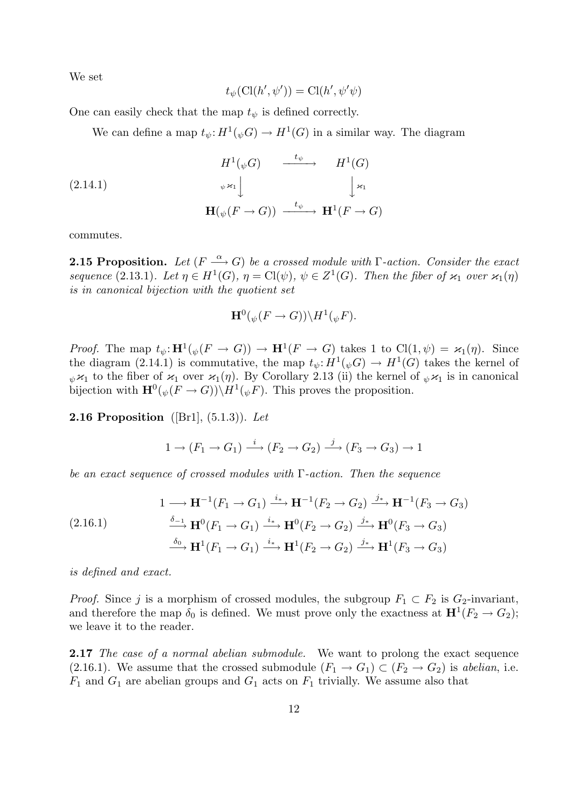We set

$$
t_{\psi}(\mathrm{Cl}(h',\psi')) = \mathrm{Cl}(h',\psi'\psi)
$$

One can easily check that the map  $t_{\psi}$  is defined correctly.

We can define a map  $t_{\psi}: H^1(\psi G) \to H^1(G)$  in a similar way. The diagram

$$
(2.14.1)
$$
\n
$$
H^{1}(\psi G) \xrightarrow{\quad t_{\psi}} H^{1}(G)
$$
\n
$$
\psi \times_{1} \downarrow \qquad \qquad \downarrow \times_{1}
$$
\n
$$
\mathbf{H}(\psi(F \to G)) \xrightarrow{\quad t_{\psi}} \mathbf{H}^{1}(F \to G)
$$

commutes.

**2.15 Proposition.** Let  $(F \stackrel{\alpha}{\longrightarrow} G)$  be a crossed module with  $\Gamma$ -action. Consider the exact sequence (2.13.1). Let  $\eta \in H^1(G)$ ,  $\eta = Cl(\psi)$ ,  $\psi \in Z^1(G)$ . Then the fiber of  $\varkappa_1$  over  $\varkappa_1(\eta)$ is in canonical bijection with the quotient set

$$
\mathbf{H}^{0}(\psi(F \to G))\backslash H^{1}(\psi F).
$$

*Proof.* The map  $t_{\psi} \colon \mathbf{H}^1(\psi(F \to G)) \to \mathbf{H}^1(F \to G)$  takes 1 to  $\text{Cl}(1,\psi) = \varkappa_1(\eta)$ . Since the diagram (2.14.1) is commutative, the map  $t_{\psi}: H^1(\psi G) \to H^1(G)$  takes the kernel of  $\psi \times_1$  to the fiber of  $\chi_1$  over  $\chi_1(\eta)$ . By Corollary 2.13 (ii) the kernel of  $\psi \times_1$  is in canonical bijection with  $\mathbf{H}^0(\psi(F \to G)) \backslash H^1(\psi F)$ . This proves the proposition.

**2.16 Proposition** ([Br1],  $(5.1.3)$ ]. Let

$$
1 \to (F_1 \to G_1) \xrightarrow{i} (F_2 \to G_2) \xrightarrow{j} (F_3 \to G_3) \to 1
$$

be an exact sequence of crossed modules with  $\Gamma$ -action. Then the sequence

$$
(2.16.1) \qquad \begin{aligned} 1 &\longrightarrow \mathbf{H}^{-1}(F_1 \to G_1) \xrightarrow{i_*} \mathbf{H}^{-1}(F_2 \to G_2) \xrightarrow{j_*} \mathbf{H}^{-1}(F_3 \to G_3) \\ &\xrightarrow{\delta_{-1}} \mathbf{H}^0(F_1 \to G_1) \xrightarrow{i_*} \mathbf{H}^0(F_2 \to G_2) \xrightarrow{j_*} \mathbf{H}^0(F_3 \to G_3) \\ &\xrightarrow{\delta_0} \mathbf{H}^1(F_1 \to G_1) \xrightarrow{i_*} \mathbf{H}^1(F_2 \to G_2) \xrightarrow{j_*} \mathbf{H}^1(F_3 \to G_3) \end{aligned}
$$

is defined and exact.

*Proof.* Since j is a morphism of crossed modules, the subgroup  $F_1 \subset F_2$  is  $G_2$ -invariant, and therefore the map  $\delta_0$  is defined. We must prove only the exactness at  $\mathbf{H}^1(F_2 \to G_2)$ ; we leave it to the reader.

2.17 The case of a normal abelian submodule. We want to prolong the exact sequence (2.16.1). We assume that the crossed submodule  $(F_1 \rightarrow G_1) \subset (F_2 \rightarrow G_2)$  is abelian, i.e.  $F_1$  and  $G_1$  are abelian groups and  $G_1$  acts on  $F_1$  trivially. We assume also that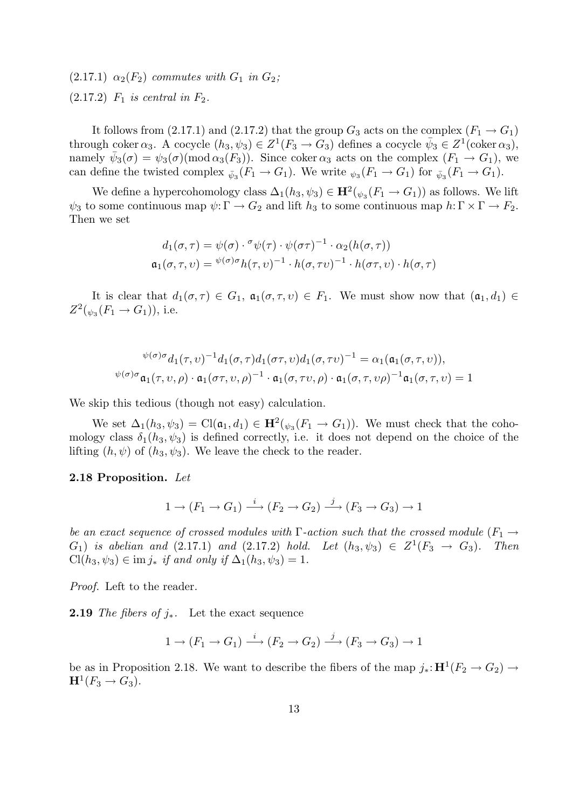$(2.17.1) \ \alpha_2(F_2)$  commutes with  $G_1$  in  $G_2$ ;  $(2.17.2)$   $F_1$  is central in  $F_2$ .

It follows from (2.17.1) and (2.17.2) that the group  $G_3$  acts on the complex  $(F_1 \rightarrow G_1)$ through coker  $\alpha_3$ . A cocycle  $(h_3, \psi_3) \in Z^1(F_3 \to G_3)$  defines a cocycle  $\bar{\psi}_3 \in Z^1(\text{coker}\,\alpha_3)$ , namely  $\bar{\psi}_3(\sigma) = \psi_3(\sigma) (\text{mod } \alpha_3(F_3))$ . Since coker  $\alpha_3$  acts on the complex  $(F_1 \to G_1)$ , we can define the twisted complex  $_{\bar{\psi}_3}(F_1 \to G_1)$ . We write  $_{\psi_3}(F_1 \to G_1)$  for  $_{\bar{\psi}_3}(F_1 \to G_1)$ .

We define a hypercohomology class  $\Delta_1(h_3, \psi_3) \in \mathbf{H}^2(\psi_3(F_1 \to G_1))$  as follows. We lift  $\psi_3$  to some continuous map  $\psi: \Gamma \to G_2$  and lift  $h_3$  to some continuous map  $h: \Gamma \times \Gamma \to F_2$ . Then we set

$$
d_1(\sigma, \tau) = \psi(\sigma) \cdot \sigma \psi(\tau) \cdot \psi(\sigma \tau)^{-1} \cdot \alpha_2(h(\sigma, \tau))
$$
  

$$
\mathfrak{a}_1(\sigma, \tau, \nu) = \psi(\sigma) \sigma h(\tau, \nu)^{-1} \cdot h(\sigma, \tau \nu)^{-1} \cdot h(\sigma \tau, \nu) \cdot h(\sigma, \tau)
$$

It is clear that  $d_1(\sigma, \tau) \in G_1$ ,  $\mathfrak{a}_1(\sigma, \tau, v) \in F_1$ . We must show now that  $(\mathfrak{a}_1, d_1) \in$  $Z^2(\psi_3(F_1 \to G_1))$ , i.e.

$$
\psi(\sigma)\sigma d_1(\tau, \nu)^{-1} d_1(\sigma, \tau) d_1(\sigma \tau, \nu) d_1(\sigma, \tau \nu)^{-1} = \alpha_1(\mathfrak{a}_1(\sigma, \tau, \nu)),
$$
  

$$
\psi(\sigma)\sigma \mathfrak{a}_1(\tau, \nu, \rho) \cdot \mathfrak{a}_1(\sigma \tau, \nu, \rho)^{-1} \cdot \mathfrak{a}_1(\sigma, \tau \nu, \rho) \cdot \mathfrak{a}_1(\sigma, \tau, \nu \rho)^{-1} \mathfrak{a}_1(\sigma, \tau, \nu) = 1
$$

We skip this tedious (though not easy) calculation.

We set  $\Delta_1(h_3, \psi_3) = \text{Cl}(\mathfrak{a}_1, d_1) \in \mathbf{H}^2(\psi_3(F_1 \to G_1)).$  We must check that the cohomology class  $\delta_1(h_3, \psi_3)$  is defined correctly, i.e. it does not depend on the choice of the lifting  $(h, \psi)$  of  $(h_3, \psi_3)$ . We leave the check to the reader.

#### 2.18 Proposition. Let

$$
1 \to (F_1 \to G_1) \xrightarrow{i} (F_2 \to G_2) \xrightarrow{j} (F_3 \to G_3) \to 1
$$

be an exact sequence of crossed modules with  $\Gamma$ -action such that the crossed module ( $F_1 \rightarrow$  $(G_1)$  is abelian and  $(2.17.1)$  and  $(2.17.2)$  hold. Let  $(h_3, \psi_3) \in Z^1(F_3 \to G_3)$ . Then  $\text{Cl}(h_3, \psi_3) \in \text{im } j_*$  if and only if  $\Delta_1(h_3, \psi_3) = 1$ .

Proof. Left to the reader.

**2.19** The fibers of  $j_*$ . Let the exact sequence

$$
1 \to (F_1 \to G_1) \xrightarrow{i} (F_2 \to G_2) \xrightarrow{j} (F_3 \to G_3) \to 1
$$

be as in Proposition 2.18. We want to describe the fibers of the map  $j_* : \mathbf{H}^1(F_2 \to G_2) \to$  $\mathbf{H}^1(F_3 \to G_3).$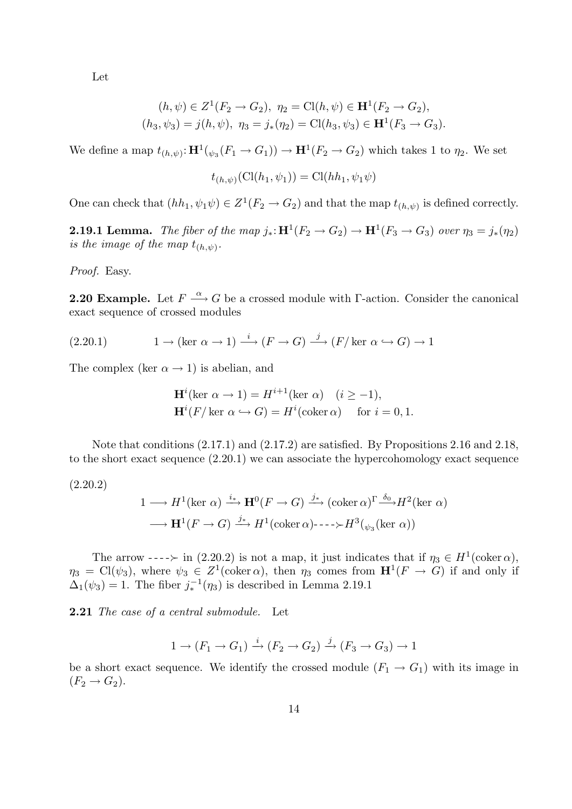Let

$$
(h, \psi) \in Z^1(F_2 \to G_2), \ \eta_2 = \text{Cl}(h, \psi) \in \mathbf{H}^1(F_2 \to G_2),
$$
  

$$
(h_3, \psi_3) = j(h, \psi), \ \eta_3 = j_*(\eta_2) = \text{Cl}(h_3, \psi_3) \in \mathbf{H}^1(F_3 \to G_3).
$$

We define a map  $t_{(h,\psi)} : \mathbf{H}^1(\psi_3(F_1 \to G_1)) \to \mathbf{H}^1(F_2 \to G_2)$  which takes 1 to  $\eta_2$ . We set

$$
t_{(h,\psi)}(Cl(h_1,\psi_1)) = Cl(hh_1,\psi_1\psi)
$$

One can check that  $(hh_1, \psi_1\psi) \in Z^1(F_2 \to G_2)$  and that the map  $t_{(h,\psi)}$  is defined correctly.

**2.19.1 Lemma.** The fiber of the map  $j_*: \mathbf{H}^1(F_2 \to G_2) \to \mathbf{H}^1(F_3 \to G_3)$  over  $\eta_3 = j_*(\eta_2)$ is the image of the map  $t_{(h,\psi)}$ .

Proof. Easy.

**2.20 Example.** Let  $F \stackrel{\alpha}{\longrightarrow} G$  be a crossed module with  $\Gamma$ -action. Consider the canonical exact sequence of crossed modules

(2.20.1) 
$$
1 \to (\ker \alpha \to 1) \stackrel{i}{\longrightarrow} (F \to G) \stackrel{j}{\longrightarrow} (F/\ker \alpha \hookrightarrow G) \to 1
$$

The complex (ker  $\alpha \rightarrow 1$ ) is abelian, and

$$
\mathbf{H}^i(\text{ker }\alpha \to 1) = H^{i+1}(\text{ker }\alpha) \quad (i \ge -1),
$$
  

$$
\mathbf{H}^i(F/\text{ker }\alpha \hookrightarrow G) = H^i(\text{coker }\alpha) \quad \text{for } i = 0, 1.
$$

Note that conditions (2.17.1) and (2.17.2) are satisfied. By Propositions 2.16 and 2.18, to the short exact sequence (2.20.1) we can associate the hypercohomology exact sequence

(2.20.2)

$$
1 \longrightarrow H^{1}(\ker \alpha) \xrightarrow{i_{*}} \mathbf{H}^{0}(F \to G) \xrightarrow{j_{*}} (\operatorname{coker} \alpha)^{\Gamma} \xrightarrow{\delta_{0}} H^{2}(\ker \alpha)
$$

$$
\longrightarrow \mathbf{H}^{1}(F \to G) \xrightarrow{j_{*}} H^{1}(\operatorname{coker} \alpha)^{\square} \longrightarrow H^{3}(\psi_{3}(\ker \alpha))
$$

The arrow  $---\succ$  in (2.20.2) is not a map, it just indicates that if  $\eta_3 \in H^1(\text{coker }\alpha)$ ,  $\eta_3 = \text{Cl}(\psi_3)$ , where  $\psi_3 \in Z^1(\text{coker }\alpha)$ , then  $\eta_3$  comes from  $\mathbf{H}^1(F \to G)$  if and only if  $\Delta_1(\psi_3) = 1$ . The fiber  $j_*^{-1}(\eta_3)$  is described in Lemma 2.19.1

**2.21** The case of a central submodule. Let

$$
1 \to (F_1 \to G_1) \xrightarrow{i} (F_2 \to G_2) \xrightarrow{j} (F_3 \to G_3) \to 1
$$

be a short exact sequence. We identify the crossed module  $(F_1 \rightarrow G_1)$  with its image in  $(F_2 \rightarrow G_2).$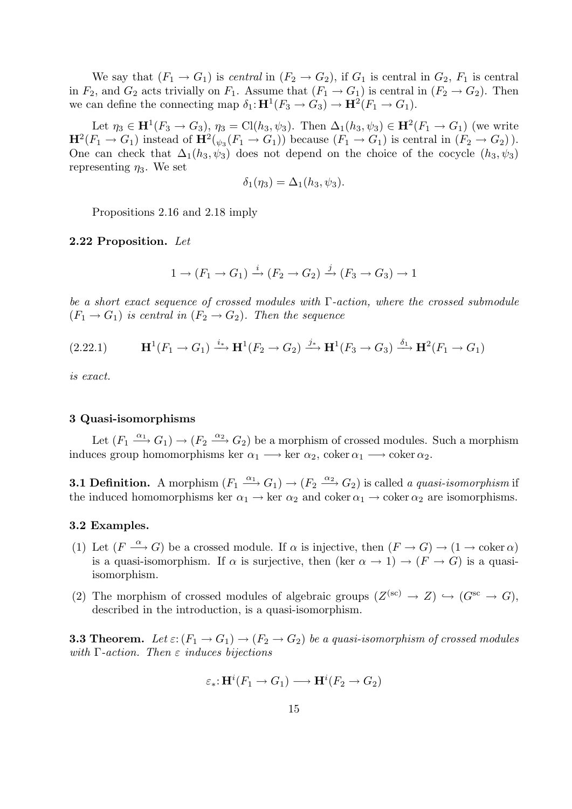We say that  $(F_1 \rightarrow G_1)$  is central in  $(F_2 \rightarrow G_2)$ , if  $G_1$  is central in  $G_2$ ,  $F_1$  is central in  $F_2$ , and  $G_2$  acts trivially on  $F_1$ . Assume that  $(F_1 \rightarrow G_1)$  is central in  $(F_2 \rightarrow G_2)$ . Then we can define the connecting map  $\delta_1: \mathbf{H}^1(F_3 \to G_3) \to \mathbf{H}^2(F_1 \to G_1)$ .

Let  $\eta_3 \in H^1(F_3 \to G_3)$ ,  $\eta_3 = \text{Cl}(h_3, \psi_3)$ . Then  $\Delta_1(h_3, \psi_3) \in H^2(F_1 \to G_1)$  (we write  $\mathbf{H}^2(F_1 \to G_1)$  instead of  $\mathbf{H}^2(\psi_3(F_1 \to G_1))$  because  $(F_1 \to G_1)$  is central in  $(F_2 \to G_2)$ . One can check that  $\Delta_1(h_3, \psi_3)$  does not depend on the choice of the cocycle  $(h_3, \psi_3)$ representing  $\eta_3$ . We set

$$
\delta_1(\eta_3) = \Delta_1(h_3, \psi_3).
$$

Propositions 2.16 and 2.18 imply

#### 2.22 Proposition. Let

$$
1 \to (F_1 \to G_1) \xrightarrow{i} (F_2 \to G_2) \xrightarrow{j} (F_3 \to G_3) \to 1
$$

be a short exact sequence of crossed modules with Γ-action, where the crossed submodule  $(F_1 \rightarrow G_1)$  is central in  $(F_2 \rightarrow G_2)$ . Then the sequence

(2.22.1) 
$$
\mathbf{H}^1(F_1 \to G_1) \xrightarrow{i_*} \mathbf{H}^1(F_2 \to G_2) \xrightarrow{j_*} \mathbf{H}^1(F_3 \to G_3) \xrightarrow{\delta_1} \mathbf{H}^2(F_1 \to G_1)
$$

is exact.

#### 3 Quasi-isomorphisms

Let  $(F_1 \xrightarrow{\alpha_1} G_1) \rightarrow (F_2 \xrightarrow{\alpha_2} G_2)$  be a morphism of crossed modules. Such a morphism induces group homomorphisms ker  $\alpha_1 \longrightarrow \text{ker } \alpha_2$ , coker  $\alpha_1 \longrightarrow \text{coker } \alpha_2$ .

**3.1 Definition.** A morphism  $(F_1 \xrightarrow{\alpha_1} G_1) \rightarrow (F_2 \xrightarrow{\alpha_2} G_2)$  is called a quasi-isomorphism if the induced homomorphisms ker  $\alpha_1 \rightarrow \text{ker } \alpha_2$  and coker  $\alpha_1 \rightarrow \text{coker } \alpha_2$  are isomorphisms.

#### 3.2 Examples.

- (1) Let  $(F \stackrel{\alpha}{\longrightarrow} G)$  be a crossed module. If  $\alpha$  is injective, then  $(F \rightarrow G) \rightarrow (1 \rightarrow \text{coker}\,\alpha)$ is a quasi-isomorphism. If  $\alpha$  is surjective, then (ker  $\alpha \to 1$ )  $\to (F \to G)$  is a quasiisomorphism.
- (2) The morphism of crossed modules of algebraic groups  $(Z^{(\text{sc})} \to Z) \hookrightarrow (G^{\text{sc}} \to G)$ , described in the introduction, is a quasi-isomorphism.

**3.3 Theorem.** Let  $\varepsilon: (F_1 \to G_1) \to (F_2 \to G_2)$  be a quasi-isomorphism of crossed modules with  $\Gamma$ -action. Then  $\varepsilon$  induces bijections

$$
\varepsilon_*\hbox{:}\ {\bf H}^i(F_1\to G_1)\longrightarrow {\bf H}^i(F_2\to G_2)
$$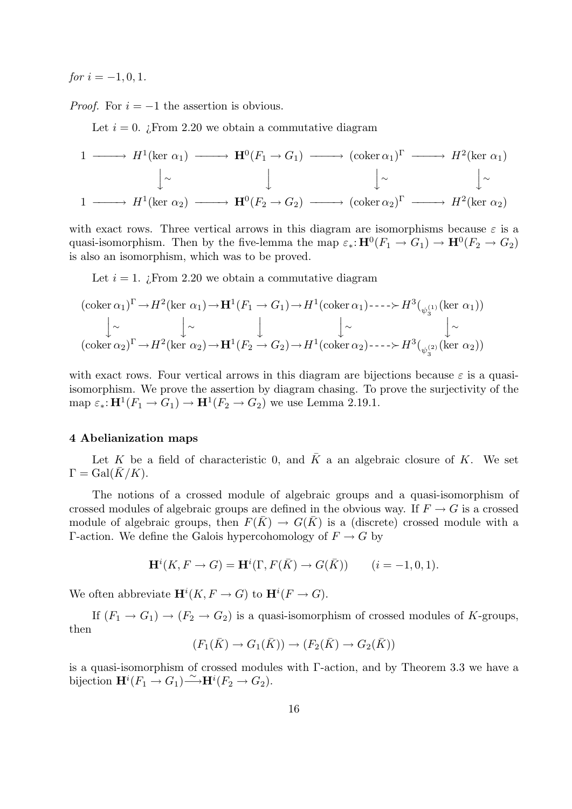$for i = -1, 0, 1.$ 

*Proof.* For  $i = -1$  the assertion is obvious.

Let  $i = 0$ . *i*. From 2.20 we obtain a commutative diagram

$$
1 \longrightarrow H^{1}(\ker \alpha_{1}) \longrightarrow \mathbf{H}^{0}(F_{1} \to G_{1}) \longrightarrow (\operatorname{coker} \alpha_{1})^{\Gamma} \longrightarrow H^{2}(\ker \alpha_{1})
$$
  
\n
$$
\downarrow \sim \qquad \qquad \downarrow \sim \qquad \qquad \downarrow \sim \qquad \qquad \downarrow \sim
$$
  
\n
$$
1 \longrightarrow H^{1}(\ker \alpha_{2}) \longrightarrow \mathbf{H}^{0}(F_{2} \to G_{2}) \longrightarrow (\operatorname{coker} \alpha_{2})^{\Gamma} \longrightarrow H^{2}(\ker \alpha_{2})
$$

with exact rows. Three vertical arrows in this diagram are isomorphisms because  $\varepsilon$  is a quasi-isomorphism. Then by the five-lemma the map  $\varepsilon_* : H^0(F_1 \to G_1) \to H^0(F_2 \to G_2)$ is also an isomorphism, which was to be proved.

Let  $i = 1$ . *i* From 2.20 we obtain a commutative diagram

$$
(\text{coker }\alpha_1)^{\Gamma} \to H^2(\text{ker }\alpha_1) \to \mathbf{H}^1(F_1 \to G_1) \to H^1(\text{coker }\alpha_1) \to H^3(\underset{\psi_3^{(1)}}{\downarrow} (\text{ker }\alpha_1))
$$
  
\n
$$
\downarrow \sim \qquad \qquad \downarrow \sim \qquad \qquad \downarrow \sim \qquad \qquad \downarrow \sim \qquad \qquad \downarrow \sim \qquad \qquad \downarrow \sim
$$
  
\n
$$
(\text{coker }\alpha_2)^{\Gamma} \to H^2(\text{ker }\alpha_2) \to \mathbf{H}^1(F_2 \to G_2) \to H^1(\text{coker }\alpha_2) \to \qquad \qquad \downarrow \sim
$$

with exact rows. Four vertical arrows in this diagram are bijections because  $\varepsilon$  is a quasiisomorphism. We prove the assertion by diagram chasing. To prove the surjectivity of the map  $\varepsilon_*: \mathbf{H}^1(F_1 \to G_1) \to \mathbf{H}^1(F_2 \to G_2)$  we use Lemma 2.19.1.

## 4 Abelianization maps

Let K be a field of characteristic 0, and  $\overline{K}$  a an algebraic closure of K. We set  $\Gamma = \text{Gal}(\overline{K}/K)$ .

The notions of a crossed module of algebraic groups and a quasi-isomorphism of crossed modules of algebraic groups are defined in the obvious way. If  $F \to G$  is a crossed module of algebraic groups, then  $F(\bar{K}) \to G(\bar{K})$  is a (discrete) crossed module with a Γ-action. We define the Galois hypercohomology of  $F \to G$  by

$$
\mathbf{H}^i(K, F \to G) = \mathbf{H}^i(\Gamma, F(\overline{K}) \to G(\overline{K})) \qquad (i = -1, 0, 1).
$$

We often abbreviate  $\mathbf{H}^i(K, F \to G)$  to  $\mathbf{H}^i(F \to G)$ .

If  $(F_1 \rightarrow G_1) \rightarrow (F_2 \rightarrow G_2)$  is a quasi-isomorphism of crossed modules of K-groups, then

$$
(F_1(\bar{K}) \to G_1(\bar{K})) \to (F_2(\bar{K}) \to G_2(\bar{K}))
$$

is a quasi-isomorphism of crossed modules with Γ-action, and by Theorem 3.3 we have a bijection  $\mathbf{H}^i(F_1 \to G_1) \overset{\sim}{\longrightarrow} \mathbf{H}^i(F_2 \to G_2)$ .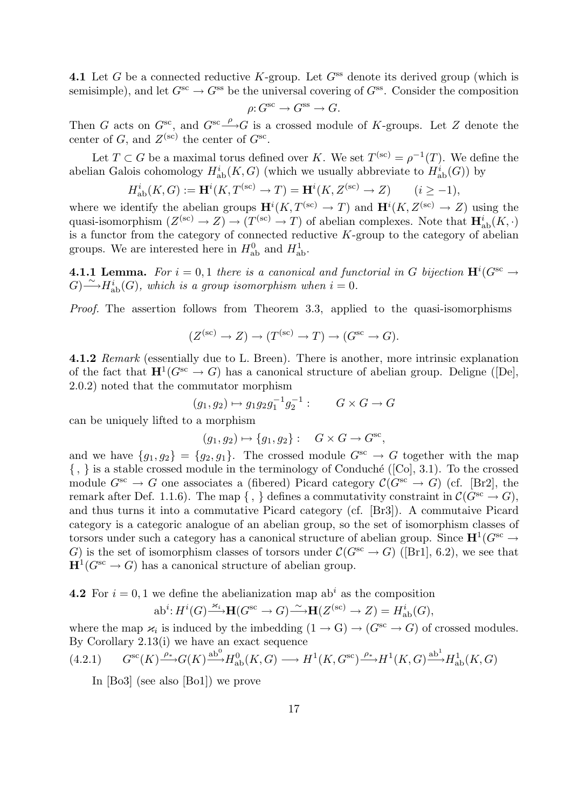4.1 Let G be a connected reductive K-group. Let  $G^{ss}$  denote its derived group (which is semisimple), and let  $G^{sc} \to G^{ss}$  be the universal covering of  $G^{ss}$ . Consider the composition

$$
\rho\hbox{\rm :}\ G^\text{sc}\to G^\text{ss}\to G.
$$

Then G acts on  $G^{sc}$ , and  $G^{sc} \longrightarrow G$  is a crossed module of K-groups. Let Z denote the center of G, and  $Z^{(\text{sc})}$  the center of  $G^{\text{sc}}$ .

Let  $T \subset G$  be a maximal torus defined over K. We set  $T^{(sc)} = \rho^{-1}(T)$ . We define the abelian Galois cohomology  $H^i_{ab}(K, G)$  (which we usually abbreviate to  $H^i_{ab}(G)$ ) by

$$
H_{\mathrm{ab}}^i(K, G) := \mathbf{H}^i(K, T^{(\mathrm{sc})} \to T) = \mathbf{H}^i(K, Z^{(\mathrm{sc})} \to Z) \qquad (i \ge -1),
$$

where we identify the abelian groups  $\mathbf{H}^{i}(K, T^{(\text{sc})} \to T)$  and  $\mathbf{H}^{i}(K, Z^{(\text{sc})} \to Z)$  using the quasi-isomorphism  $(Z^{(sc)} \to Z) \to (T^{(sc)} \to T)$  of abelian complexes. Note that  $\mathbf{H}^{i}_{ab}(K, \cdot)$ is a functor from the category of connected reductive  $K$ -group to the category of abelian groups. We are interested here in  $H_{ab}^0$  and  $H_{ab}^1$ .

**4.1.1 Lemma.** For  $i = 0, 1$  there is a canonical and functorial in G bijection  $\mathbf{H}^{i}(G^{\text{sc}} \rightarrow$  $G \rightarrow H_{ab}^{i}(G)$ , which is a group isomorphism when  $i = 0$ .

Proof. The assertion follows from Theorem 3.3, applied to the quasi-isomorphisms

$$
(Z^{(\text{sc})} \to Z) \to (T^{(\text{sc})} \to T) \to (G^{\text{sc}} \to G).
$$

4.1.2 Remark (essentially due to L. Breen). There is another, more intrinsic explanation of the fact that  $\mathbf{H}^1(G^{sc} \to G)$  has a canonical structure of abelian group. Deligne ([De], 2.0.2) noted that the commutator morphism

$$
(g_1, g_2) \mapsto g_1 g_2 g_1^{-1} g_2^{-1} : G \times G \to G
$$

can be uniquely lifted to a morphism

$$
(g_1, g_2) \mapsto \{g_1, g_2\} : G \times G \to G^{\text{sc}},
$$

and we have  $\{g_1, g_2\} = \{g_2, g_1\}.$  The crossed module  $G^{sc} \to G$  together with the map  $\{\ ,\ \}$  is a stable crossed module in the terminology of Conduché ([Co], 3.1). To the crossed module  $G^{sc} \to G$  one associates a (fibered) Picard category  $\mathcal{C}(G^{sc} \to G)$  (cf. [Br2], the remark after Def. 1.1.6). The map  $\{ , \}$  defines a commutativity constraint in  $\mathcal{C}(G^{\text{sc}} \to G)$ , and thus turns it into a commutative Picard category (cf. [Br3]). A commutaive Picard category is a categoric analogue of an abelian group, so the set of isomorphism classes of torsors under such a category has a canonical structure of abelian group. Since  $\mathbf{H}^1(G^{\text{sc}} \to$ G) is the set of isomorphism classes of torsors under  $\mathcal{C}(G^{\text{sc}} \to G)$  ([Br1], 6.2), we see that  $\mathbf{H}^1(G^{\text{sc}} \to G)$  has a canonical structure of abelian group.

**4.2** For  $i = 0, 1$  we define the abelianization map ab<sup>i</sup> as the composition

$$
ab^{i} : H^{i}(G) \xrightarrow{\varkappa_{i}} \mathbf{H}(G^{\rm sc} \to G) \xrightarrow{\sim} \mathbf{H}(Z^{(\rm sc)} \to Z) = H_{\rm ab}^{i}(G),
$$

where the map  $\varkappa_i$  is induced by the imbedding  $(1 \to G) \to (G^{sc} \to G)$  of crossed modules. By Corollary 2.13(i) we have an exact sequence

$$
(4.2.1) \tG^{sc}(K) \xrightarrow{\rho_*} G(K) \xrightarrow{ab^0} H^0_{ab}(K, G) \longrightarrow H^1(K, G^{sc}) \xrightarrow{\rho_*} H^1(K, G) \xrightarrow{ab^1} H^1_{ab}(K, G)
$$

In [Bo3] (see also [Bo1]) we prove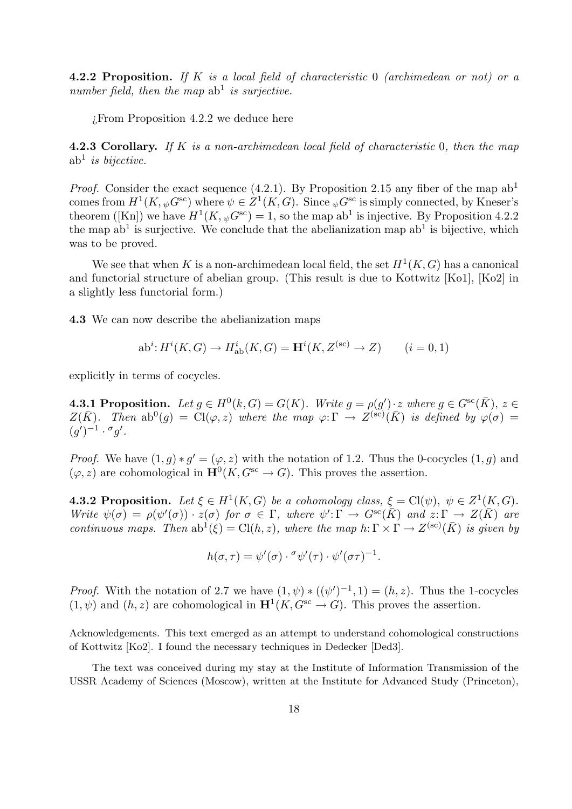**4.2.2 Proposition.** If K is a local field of characteristic 0 (archimedean or not) or a number field, then the map  $ab<sup>1</sup>$  is surjective.

¿From Proposition 4.2.2 we deduce here

**4.2.3 Corollary.** If K is a non-archimedean local field of characteristic  $0$ , then the map  $ab<sup>1</sup>$  is bijective.

*Proof.* Consider the exact sequence (4.2.1). By Proposition 2.15 any fiber of the map  $ab<sup>1</sup>$ comes from  $H^1(K, \psi G^{\rm sc})$  where  $\psi \in Z^1(K, G)$ . Since  $\psi G^{\rm sc}$  is simply connected, by Kneser's theorem ([Kn]) we have  $H^1(K, \psi G^{\rm sc}) = 1$ , so the map ab<sup>1</sup> is injective. By Proposition 4.2.2 the map  $ab<sup>1</sup>$  is surjective. We conclude that the abelianization map  $ab<sup>1</sup>$  is bijective, which was to be proved.

We see that when K is a non-archimedean local field, the set  $H^1(K, G)$  has a canonical and functorial structure of abelian group. (This result is due to Kottwitz [Ko1], [Ko2] in a slightly less functorial form.)

4.3 We can now describe the abelianization maps

$$
ab^i: H^i(K, G) \to H^i_{ab}(K, G) = \mathbf{H}^i(K, Z^{(sc)} \to Z) \qquad (i = 0, 1)
$$

explicitly in terms of cocycles.

**4.3.1 Proposition.** Let  $g \in H^0(k, G) = G(K)$ . Write  $g = \rho(g') \cdot z$  where  $g \in G^{sc}(\overline{K})$ ,  $z \in$  $Z(\bar{K})$ . Then  $ab^0(g) = \tilde{Cl}(\varphi, z)$  where the map  $\varphi: \Gamma \to Z^{(\rm sc)}(\bar{K})$  is defined by  $\varphi(\sigma) =$  $(g')^{-1} \cdot \sigma g'.$ 

*Proof.* We have  $(1, g) * g' = (\varphi, z)$  with the notation of 1.2. Thus the 0-cocycles  $(1, g)$  and  $(\varphi, z)$  are cohomological in  $\mathbf{H}^{0}(K, G^{\text{sc}} \to G)$ . This proves the assertion.

**4.3.2 Proposition.** Let  $\xi \in H^1(K, G)$  be a cohomology class,  $\xi = \text{Cl}(\psi)$ ,  $\psi \in Z^1(K, G)$ . Write  $\psi(\sigma) = \rho(\psi'(\sigma)) \cdot z(\sigma)$  for  $\sigma \in \Gamma$ , where  $\psi' : \Gamma \to G^{sc}(\overline{K})$  and  $z : \Gamma \to Z(\overline{K})$  are continuous maps. Then  $ab^{\hat{1}}(\xi) = Cl(h, z)$ , where the map  $h: \Gamma \times \Gamma \to Z^{(sc)}(\bar{K})$  is given by

$$
h(\sigma,\tau) = \psi'(\sigma) \cdot \sigma \psi'(\tau) \cdot \psi'(\sigma \tau)^{-1}.
$$

*Proof.* With the notation of 2.7 we have  $(1, \psi) * ((\psi')^{-1}, 1) = (h, z)$ . Thus the 1-cocycles  $(1, \psi)$  and  $(h, z)$  are cohomological in  $\mathbf{H}^1(K, G^{\text{sc}} \to G)$ . This proves the assertion.

Acknowledgements. This text emerged as an attempt to understand cohomological constructions of Kottwitz [Ko2]. I found the necessary techniques in Dedecker [Ded3].

The text was conceived during my stay at the Institute of Information Transmission of the USSR Academy of Sciences (Moscow), written at the Institute for Advanced Study (Princeton),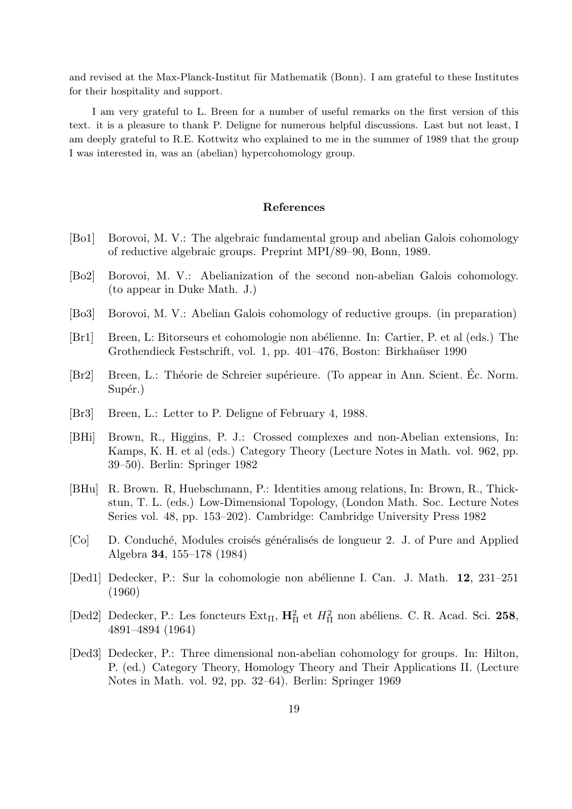and revised at the Max-Planck-Institut für Mathematik (Bonn). I am grateful to these Institutes for their hospitality and support.

I am very grateful to L. Breen for a number of useful remarks on the first version of this text. it is a pleasure to thank P. Deligne for numerous helpful discussions. Last but not least, I am deeply grateful to R.E. Kottwitz who explained to me in the summer of 1989 that the group I was interested in, was an (abelian) hypercohomology group.

#### References

- [Bo1] Borovoi, M. V.: The algebraic fundamental group and abelian Galois cohomology of reductive algebraic groups. Preprint MPI/89–90, Bonn, 1989.
- [Bo2] Borovoi, M. V.: Abelianization of the second non-abelian Galois cohomology. (to appear in Duke Math. J.)
- [Bo3] Borovoi, M. V.: Abelian Galois cohomology of reductive groups. (in preparation)
- [Br1] Breen, L: Bitorseurs et cohomologie non abélienne. In: Cartier, P. et al (eds.) The Grothendieck Festschrift, vol. 1, pp. 401–476, Boston: Birkhaüser 1990
- [Br2] Breen, L.: Théorie de Schreier supérieure. (To appear in Ann. Scient. Éc. Norm. Supér.)
- [Br3] Breen, L.: Letter to P. Deligne of February 4, 1988.
- [BHi] Brown, R., Higgins, P. J.: Crossed complexes and non-Abelian extensions, In: Kamps, K. H. et al (eds.) Category Theory (Lecture Notes in Math. vol. 962, pp. 39–50). Berlin: Springer 1982
- [BHu] R. Brown. R, Huebschmann, P.: Identities among relations, In: Brown, R., Thickstun, T. L. (eds.) Low-Dimensional Topology, (London Math. Soc. Lecture Notes Series vol. 48, pp. 153–202). Cambridge: Cambridge University Press 1982
- [Co] D. Conduché, Modules croisés généralisés de longueur 2. J. of Pure and Applied Algebra 34, 155–178 (1984)
- [Ded1] Dedecker, P.: Sur la cohomologie non abélienne I. Can. J. Math. 12, 231–251 (1960)
- [Ded2] Dedecker, P.: Les foncteurs  $Ext_{\Pi}$ ,  $\mathbf{H}_{\Pi}^2$  et  $H_{\Pi}^2$  non abéliens. C. R. Acad. Sci. 258, 4891–4894 (1964)
- [Ded3] Dedecker, P.: Three dimensional non-abelian cohomology for groups. In: Hilton, P. (ed.) Category Theory, Homology Theory and Their Applications II. (Lecture Notes in Math. vol. 92, pp. 32–64). Berlin: Springer 1969